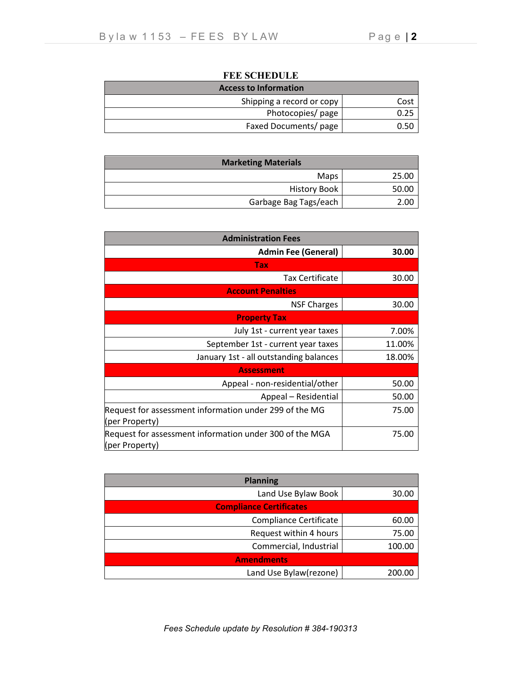| т ее эсперсен                |      |
|------------------------------|------|
| <b>Access to Information</b> |      |
| Shipping a record or copy    | Cost |
| Photocopies/page             | 0.25 |
| Faxed Documents/ page        | 0.50 |

| <b>Marketing Materials</b> |       |
|----------------------------|-------|
| Maps                       | 25.00 |
| History Book               | 50.00 |
| Garbage Bag Tags/each      | 2.00  |

| <b>Administration Fees</b>                              |        |
|---------------------------------------------------------|--------|
| <b>Admin Fee (General)</b>                              | 30.00  |
| <b>Tax</b>                                              |        |
| <b>Tax Certificate</b>                                  | 30.00  |
| <b>Account Penalties</b>                                |        |
| <b>NSF Charges</b>                                      | 30.00  |
| <b>Property Tax</b>                                     |        |
| July 1st - current year taxes                           | 7.00%  |
| September 1st - current year taxes                      | 11.00% |
| January 1st - all outstanding balances                  | 18.00% |
| <b>Assessment</b>                                       |        |
| Appeal - non-residential/other                          | 50.00  |
| Appeal - Residential                                    | 50.00  |
| Request for assessment information under 299 of the MG  | 75.00  |
| (per Property)                                          |        |
| Request for assessment information under 300 of the MGA | 75.00  |
| (per Property)                                          |        |

| <b>Planning</b>                |        |
|--------------------------------|--------|
| Land Use Bylaw Book            | 30.00  |
| <b>Compliance Certificates</b> |        |
| <b>Compliance Certificate</b>  | 60.00  |
| Request within 4 hours         | 75.00  |
| Commercial, Industrial         | 100.00 |
| <b>Amendments</b>              |        |
| Land Use Bylaw(rezone)         | 200.00 |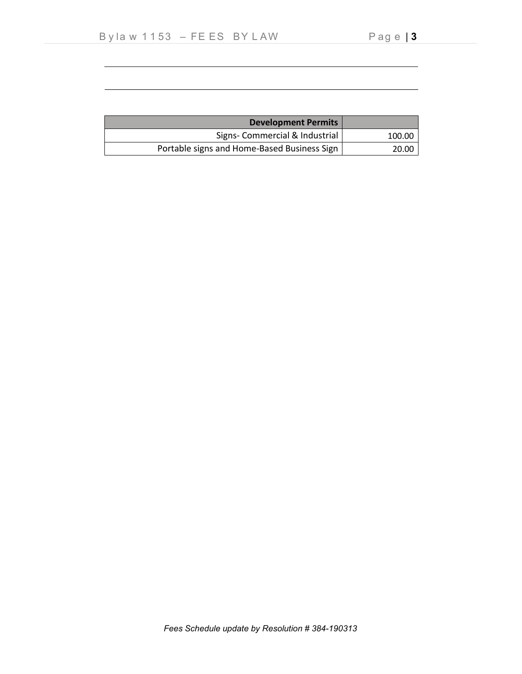| <b>Development Permits</b>                  |        |
|---------------------------------------------|--------|
| Signs- Commercial & Industrial              | 100.00 |
| Portable signs and Home-Based Business Sign | 20.00  |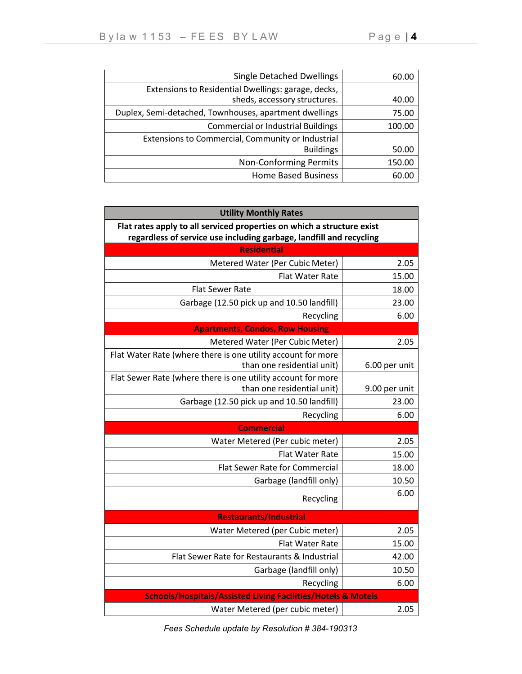| <b>Single Detached Dwellings</b>                       | 60.00  |
|--------------------------------------------------------|--------|
| Extensions to Residential Dwellings: garage, decks,    |        |
| sheds, accessory structures.                           | 40.00  |
| Duplex, Semi-detached, Townhouses, apartment dwellings | 75.00  |
| <b>Commercial or Industrial Buildings</b>              | 100.00 |
| Extensions to Commercial, Community or Industrial      |        |
| <b>Buildings</b>                                       | 50.00  |
| Non-Conforming Permits                                 | 150.00 |
| <b>Home Based Business</b>                             |        |

| <b>Utility Monthly Rates</b>                                                                                                                  |               |
|-----------------------------------------------------------------------------------------------------------------------------------------------|---------------|
| Flat rates apply to all serviced properties on which a structure exist<br>regardless of service use including garbage, landfill and recycling |               |
| <b>Residential</b>                                                                                                                            |               |
| Metered Water (Per Cubic Meter)                                                                                                               | 2.05          |
| <b>Flat Water Rate</b>                                                                                                                        | 15.00         |
| <b>Flat Sewer Rate</b>                                                                                                                        | 18.00         |
| Garbage (12.50 pick up and 10.50 landfill)                                                                                                    | 23.00         |
| Recycling                                                                                                                                     | 6.00          |
| <b>Apartments, Condos, Row Housing</b>                                                                                                        |               |
| Metered Water (Per Cubic Meter)                                                                                                               | 2.05          |
| Flat Water Rate (where there is one utility account for more<br>than one residential unit)                                                    | 6.00 per unit |
| Flat Sewer Rate (where there is one utility account for more                                                                                  |               |
| than one residential unit)                                                                                                                    | 9.00 per unit |
| Garbage (12.50 pick up and 10.50 landfill)                                                                                                    | 23.00         |
| Recycling                                                                                                                                     | 6.00          |
| <b>Commercial</b>                                                                                                                             |               |
| Water Metered (Per cubic meter)                                                                                                               | 2.05          |
| Flat Water Rate                                                                                                                               | 15.00         |
| Flat Sewer Rate for Commercial                                                                                                                | 18.00         |
| Garbage (landfill only)                                                                                                                       | 10.50         |
| Recycling                                                                                                                                     | 6.00          |
| <b>Restaurants/Industrial</b>                                                                                                                 |               |
| Water Metered (per Cubic meter)                                                                                                               | 2.05          |
| Flat Water Rate                                                                                                                               | 15.00         |
| Flat Sewer Rate for Restaurants & Industrial                                                                                                  | 42.00         |
| Garbage (landfill only)                                                                                                                       | 10.50         |
| Recycling                                                                                                                                     | 6.00          |
| <b>Schools/Hospitals/Assisted Living Facilities/Hotels &amp; Motels</b>                                                                       |               |
| Water Metered (per cubic meter)                                                                                                               | 2.05          |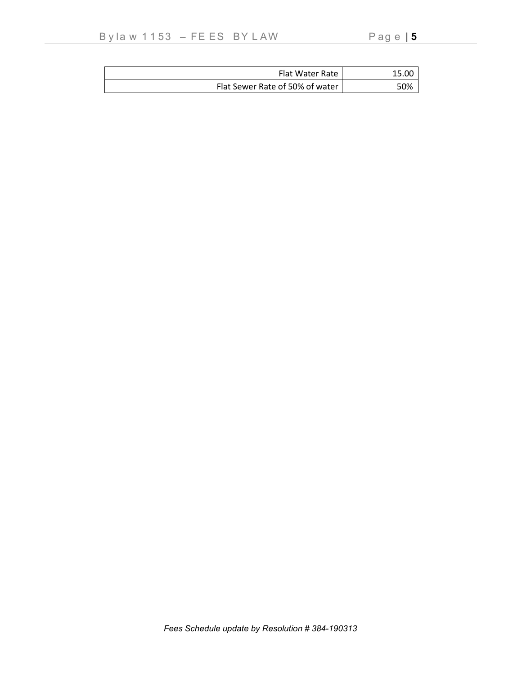| Flat Water Rate                 | 15.OC |
|---------------------------------|-------|
| Flat Sewer Rate of 50% of water | 50%   |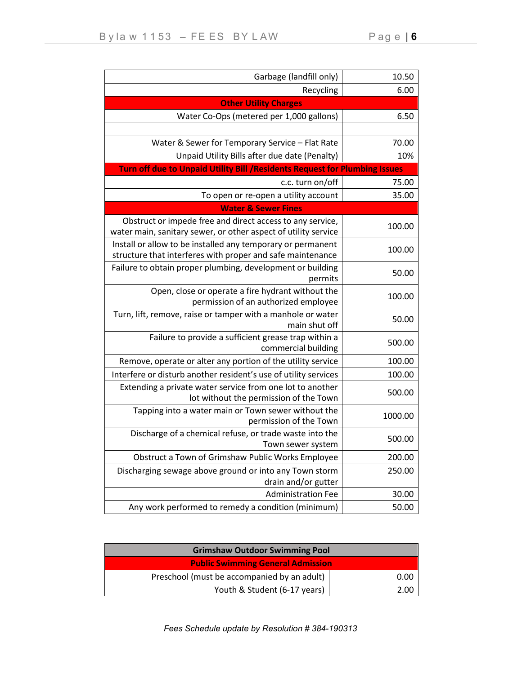| Garbage (landfill only)                                                                       | 10.50   |
|-----------------------------------------------------------------------------------------------|---------|
| Recycling                                                                                     | 6.00    |
| <b>Other Utility Charges</b>                                                                  |         |
| Water Co-Ops (metered per 1,000 gallons)                                                      | 6.50    |
|                                                                                               |         |
| Water & Sewer for Temporary Service - Flat Rate                                               | 70.00   |
| Unpaid Utility Bills after due date (Penalty)                                                 | 10%     |
| Turn off due to Unpaid Utility Bill / Residents Request for Plumbing Issues                   |         |
| c.c. turn on/off                                                                              | 75.00   |
| To open or re-open a utility account                                                          | 35.00   |
| <b>Water &amp; Sewer Fines</b>                                                                |         |
| Obstruct or impede free and direct access to any service,                                     | 100.00  |
| water main, sanitary sewer, or other aspect of utility service                                |         |
| Install or allow to be installed any temporary or permanent                                   | 100.00  |
| structure that interferes with proper and safe maintenance                                    |         |
| Failure to obtain proper plumbing, development or building<br>permits                         | 50.00   |
| Open, close or operate a fire hydrant without the                                             |         |
| permission of an authorized employee                                                          | 100.00  |
| Turn, lift, remove, raise or tamper with a manhole or water                                   |         |
| main shut off                                                                                 | 50.00   |
| Failure to provide a sufficient grease trap within a                                          | 500.00  |
| commercial building                                                                           |         |
| Remove, operate or alter any portion of the utility service                                   | 100.00  |
| Interfere or disturb another resident's use of utility services                               | 100.00  |
| Extending a private water service from one lot to another                                     | 500.00  |
| lot without the permission of the Town<br>Tapping into a water main or Town sewer without the |         |
| permission of the Town                                                                        | 1000.00 |
| Discharge of a chemical refuse, or trade waste into the                                       |         |
| Town sewer system                                                                             | 500.00  |
| Obstruct a Town of Grimshaw Public Works Employee                                             | 200.00  |
| Discharging sewage above ground or into any Town storm                                        | 250.00  |
| drain and/or gutter                                                                           |         |
| <b>Administration Fee</b>                                                                     | 30.00   |
| Any work performed to remedy a condition (minimum)                                            | 50.00   |

| <b>Grimshaw Outdoor Swimming Pool</b>       |      |
|---------------------------------------------|------|
| <b>Public Swimming General Admission</b>    |      |
| Preschool (must be accompanied by an adult) | 0.00 |
| Youth & Student (6-17 years)                | 2.00 |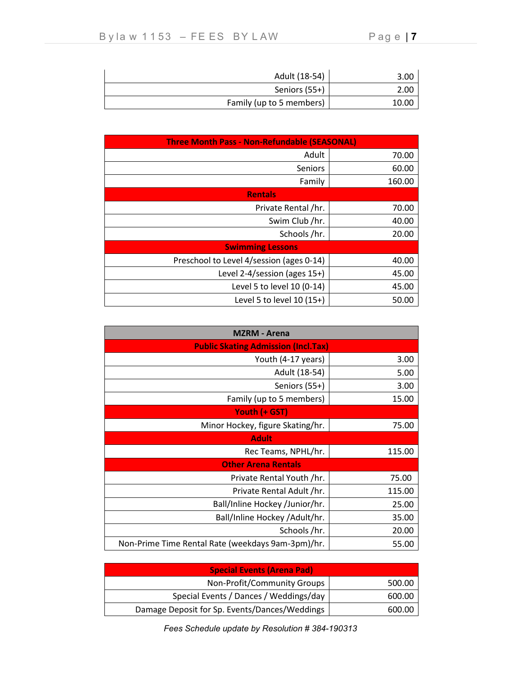| Adult (18-54)            | 3.00  |
|--------------------------|-------|
| Seniors (55+)            | 2.00  |
| Family (up to 5 members) | 10.00 |

| <b>Three Month Pass - Non-Refundable (SEASONAL)</b> |        |
|-----------------------------------------------------|--------|
| Adult                                               | 70.00  |
| <b>Seniors</b>                                      | 60.00  |
| Family                                              | 160.00 |
| <b>Rentals</b>                                      |        |
| Private Rental /hr.                                 | 70.00  |
| Swim Club /hr.                                      | 40.00  |
| Schools /hr.                                        | 20.00  |
| <b>Swimming Lessons</b>                             |        |
| Preschool to Level 4/session (ages 0-14)            | 40.00  |
| Level 2-4/session (ages 15+)                        | 45.00  |
| Level 5 to level 10 (0-14)                          | 45.00  |
| Level 5 to level 10 (15+)                           | 50.00  |

| <b>MZRM - Arena</b>                               |        |  |
|---------------------------------------------------|--------|--|
| <b>Public Skating Admission (Incl.Tax)</b>        |        |  |
| Youth (4-17 years)                                | 3.00   |  |
| Adult (18-54)                                     | 5.00   |  |
| Seniors (55+)                                     | 3.00   |  |
| Family (up to 5 members)                          | 15.00  |  |
| Youth (+ GST)                                     |        |  |
| Minor Hockey, figure Skating/hr.                  | 75.00  |  |
| Adult                                             |        |  |
| Rec Teams, NPHL/hr.                               | 115.00 |  |
| <b>Other Arena Rentals</b>                        |        |  |
| Private Rental Youth /hr.                         | 75.00  |  |
| Private Rental Adult /hr.                         | 115.00 |  |
| Ball/Inline Hockey /Junior/hr.                    | 25.00  |  |
| Ball/Inline Hockey / Adult/hr.                    | 35.00  |  |
| Schools/hr.                                       | 20.00  |  |
| Non-Prime Time Rental Rate (weekdays 9am-3pm)/hr. | 55.00  |  |

| <b>Special Events (Arena Pad)</b>             |        |
|-----------------------------------------------|--------|
| Non-Profit/Community Groups                   | 500.00 |
| Special Events / Dances / Weddings/day        | 600.00 |
| Damage Deposit for Sp. Events/Dances/Weddings | 600.00 |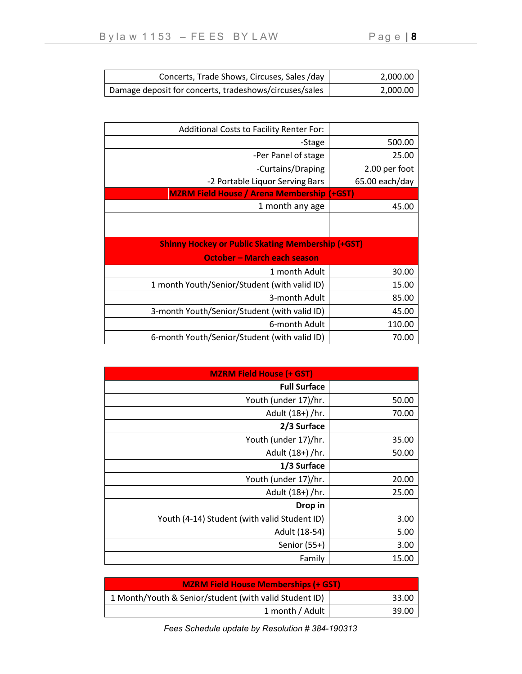| Concerts, Trade Shows, Circuses, Sales /day            | 2.000.00 |
|--------------------------------------------------------|----------|
| Damage deposit for concerts, tradeshows/circuses/sales | 2.000.00 |

| 500.00                                                   |
|----------------------------------------------------------|
| 25.00                                                    |
| 2.00 per foot                                            |
| 65.00 each/day                                           |
| (+GST)                                                   |
| 45.00                                                    |
|                                                          |
|                                                          |
| <b>Shinny Hockey or Public Skating Membership (+GST)</b> |
|                                                          |
| 30.00                                                    |
| 15.00                                                    |
| 85.00                                                    |
| 45.00                                                    |
| 110.00                                                   |
|                                                          |

| <b>MZRM Field House (+ GST)</b>              |       |
|----------------------------------------------|-------|
| <b>Full Surface</b>                          |       |
| Youth (under 17)/hr.                         | 50.00 |
| Adult (18+) /hr.                             | 70.00 |
| 2/3 Surface                                  |       |
| Youth (under 17)/hr.                         | 35.00 |
| Adult (18+) /hr.                             | 50.00 |
| 1/3 Surface                                  |       |
| Youth (under 17)/hr.                         | 20.00 |
| Adult (18+) /hr.                             | 25.00 |
| Drop in                                      |       |
| Youth (4-14) Student (with valid Student ID) | 3.00  |
| Adult (18-54)                                | 5.00  |
| Senior (55+)                                 | 3.00  |
| Family                                       | 15.00 |

| <b>MZRM Field House Memberships (+ GST)</b>            |       |  |
|--------------------------------------------------------|-------|--|
| 1 Month/Youth & Senior/student (with valid Student ID) | 33.00 |  |
| 1 month / Adult                                        | 39.00 |  |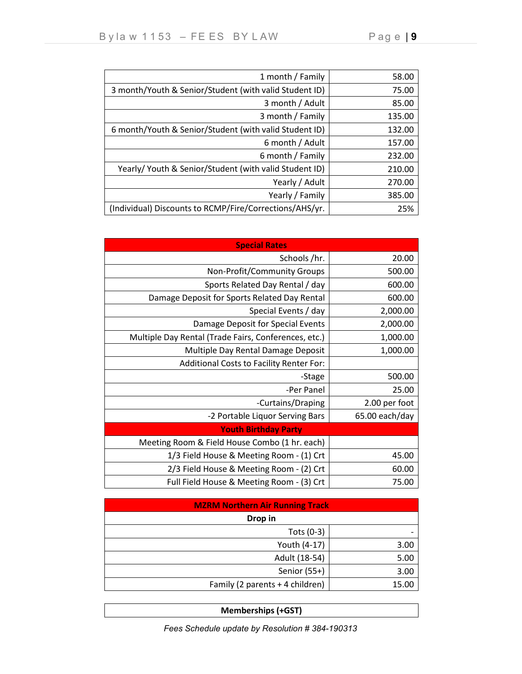| 1 month / Family                                        | 58.00  |
|---------------------------------------------------------|--------|
| 3 month/Youth & Senior/Student (with valid Student ID)  | 75.00  |
| 3 month / Adult                                         | 85.00  |
| 3 month / Family                                        | 135.00 |
| 6 month/Youth & Senior/Student (with valid Student ID)  | 132.00 |
| 6 month / Adult                                         | 157.00 |
| 6 month / Family                                        | 232.00 |
| Yearly/ Youth & Senior/Student (with valid Student ID)  | 210.00 |
| Yearly / Adult                                          | 270.00 |
| Yearly / Family                                         | 385.00 |
| (Individual) Discounts to RCMP/Fire/Corrections/AHS/yr. | 25%    |

| <b>Special Rates</b>                                 |                |
|------------------------------------------------------|----------------|
| Schools /hr.                                         | 20.00          |
| Non-Profit/Community Groups                          | 500.00         |
| Sports Related Day Rental / day                      | 600.00         |
| Damage Deposit for Sports Related Day Rental         | 600.00         |
| Special Events / day                                 | 2,000.00       |
| Damage Deposit for Special Events                    | 2,000.00       |
| Multiple Day Rental (Trade Fairs, Conferences, etc.) | 1,000.00       |
| Multiple Day Rental Damage Deposit                   | 1,000.00       |
| Additional Costs to Facility Renter For:             |                |
| -Stage                                               | 500.00         |
| -Per Panel                                           | 25.00          |
| -Curtains/Draping                                    | 2.00 per foot  |
| -2 Portable Liquor Serving Bars                      | 65.00 each/day |
| <b>Youth Birthday Party</b>                          |                |
| Meeting Room & Field House Combo (1 hr. each)        |                |
| 1/3 Field House & Meeting Room - (1) Crt             | 45.00          |
| 2/3 Field House & Meeting Room - (2) Crt             | 60.00          |
| Full Field House & Meeting Room - (3) Crt            | 75.00          |

| <b>MZRM Northern Air Running Track</b> |       |
|----------------------------------------|-------|
| Drop in                                |       |
| Tots $(0-3)$                           |       |
| Youth (4-17)                           | 3.00  |
| Adult (18-54)                          | 5.00  |
| Senior (55+)                           | 3.00  |
| Family (2 parents + 4 children)        | 15.00 |

**Memberships (+GST)**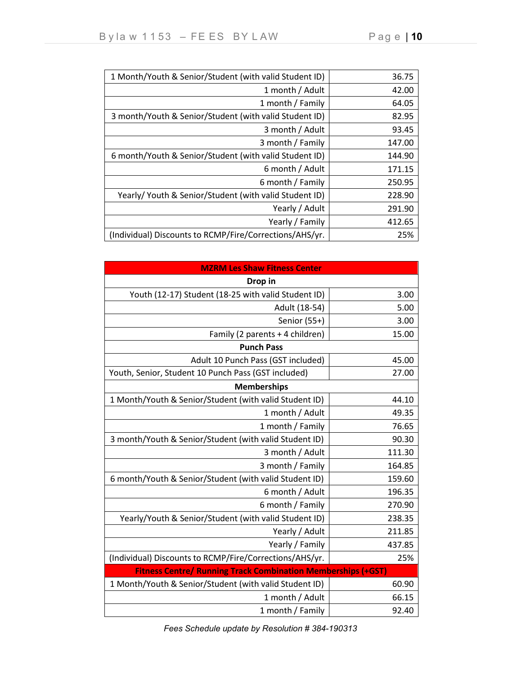| 1 Month/Youth & Senior/Student (with valid Student ID)  | 36.75  |
|---------------------------------------------------------|--------|
| 1 month / Adult                                         | 42.00  |
| 1 month / Family                                        | 64.05  |
| 3 month/Youth & Senior/Student (with valid Student ID)  | 82.95  |
| 3 month / Adult                                         | 93.45  |
| 3 month / Family                                        | 147.00 |
| 6 month/Youth & Senior/Student (with valid Student ID)  | 144.90 |
| 6 month / Adult                                         | 171.15 |
| 6 month / Family                                        | 250.95 |
| Yearly/ Youth & Senior/Student (with valid Student ID)  | 228.90 |
| Yearly / Adult                                          | 291.90 |
| Yearly / Family                                         | 412.65 |
| (Individual) Discounts to RCMP/Fire/Corrections/AHS/yr. | 25%    |

| <b>MZRM Les Shaw Fitness Center</b>                                 |        |
|---------------------------------------------------------------------|--------|
| Drop in                                                             |        |
| Youth (12-17) Student (18-25 with valid Student ID)                 | 3.00   |
| Adult (18-54)                                                       | 5.00   |
| Senior (55+)                                                        | 3.00   |
| Family (2 parents + 4 children)                                     | 15.00  |
| <b>Punch Pass</b>                                                   |        |
| Adult 10 Punch Pass (GST included)                                  | 45.00  |
| Youth, Senior, Student 10 Punch Pass (GST included)                 | 27.00  |
| <b>Memberships</b>                                                  |        |
| 1 Month/Youth & Senior/Student (with valid Student ID)              | 44.10  |
| 1 month / Adult                                                     | 49.35  |
| 1 month / Family                                                    | 76.65  |
| 3 month/Youth & Senior/Student (with valid Student ID)              | 90.30  |
| 3 month / Adult                                                     | 111.30 |
| 3 month / Family                                                    | 164.85 |
| 6 month/Youth & Senior/Student (with valid Student ID)              | 159.60 |
| 6 month / Adult                                                     | 196.35 |
| 6 month / Family                                                    | 270.90 |
| Yearly/Youth & Senior/Student (with valid Student ID)               | 238.35 |
| Yearly / Adult                                                      | 211.85 |
| Yearly / Family                                                     | 437.85 |
| (Individual) Discounts to RCMP/Fire/Corrections/AHS/yr.             | 25%    |
| <b>Fitness Centre/ Running Track Combination Memberships (+GST)</b> |        |
| 1 Month/Youth & Senior/Student (with valid Student ID)              | 60.90  |
| 1 month / Adult                                                     | 66.15  |
| 1 month / Family                                                    | 92.40  |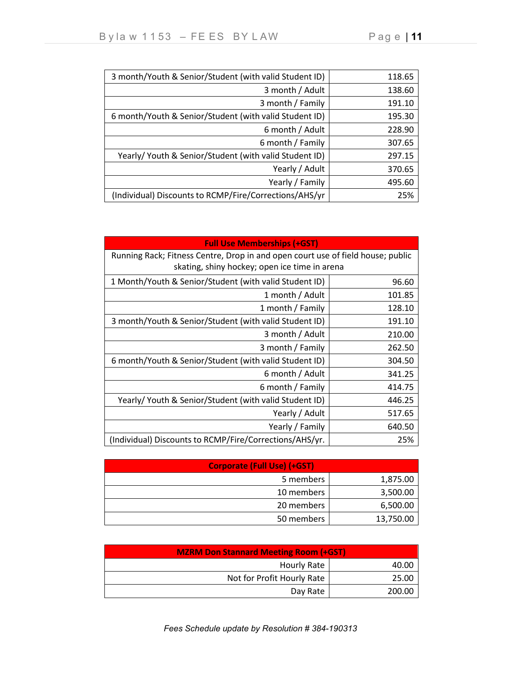| 3 month/Youth & Senior/Student (with valid Student ID) | 118.65 |
|--------------------------------------------------------|--------|
| 3 month / Adult                                        | 138.60 |
| 3 month / Family                                       | 191.10 |
| 6 month/Youth & Senior/Student (with valid Student ID) | 195.30 |
| 6 month / Adult                                        | 228.90 |
| 6 month / Family                                       | 307.65 |
| Yearly/ Youth & Senior/Student (with valid Student ID) | 297.15 |
| Yearly / Adult                                         | 370.65 |
| Yearly / Family                                        | 495.60 |
| (Individual) Discounts to RCMP/Fire/Corrections/AHS/yr | 25%    |

| <b>Full Use Memberships (+GST)</b>                                                                                               |        |
|----------------------------------------------------------------------------------------------------------------------------------|--------|
| Running Rack; Fitness Centre, Drop in and open court use of field house; public<br>skating, shiny hockey; open ice time in arena |        |
| 1 Month/Youth & Senior/Student (with valid Student ID)                                                                           | 96.60  |
| 1 month / Adult                                                                                                                  | 101.85 |
| 1 month / Family                                                                                                                 | 128.10 |
| 3 month/Youth & Senior/Student (with valid Student ID)                                                                           | 191.10 |
| 3 month / Adult                                                                                                                  | 210.00 |
| 3 month / Family                                                                                                                 | 262.50 |
| 6 month/Youth & Senior/Student (with valid Student ID)                                                                           | 304.50 |
| 6 month / Adult                                                                                                                  | 341.25 |
| 6 month / Family                                                                                                                 | 414.75 |
| Yearly/ Youth & Senior/Student (with valid Student ID)                                                                           | 446.25 |
| Yearly / Adult                                                                                                                   | 517.65 |
| Yearly / Family                                                                                                                  | 640.50 |
| (Individual) Discounts to RCMP/Fire/Corrections/AHS/yr.                                                                          | 25%    |

| <b>Corporate (Full Use) (+GST)</b> |           |
|------------------------------------|-----------|
| 5 members                          | 1,875.00  |
| 10 members                         | 3,500.00  |
| 20 members                         | 6,500.00  |
| 50 members                         | 13,750.00 |

| <b>MZRM Don Stannard Meeting Room (+GST)</b> |        |
|----------------------------------------------|--------|
| Hourly Rate                                  | 40.00  |
| Not for Profit Hourly Rate                   | 25.00  |
| Day Rate                                     | 200.00 |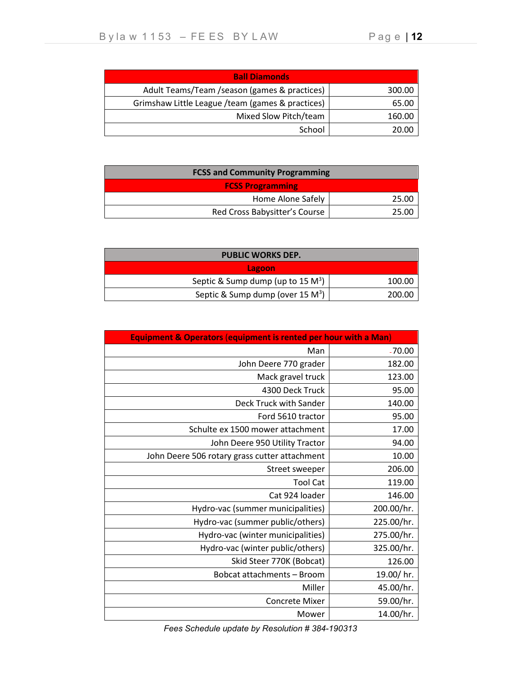| <b>Ball Diamonds</b>                             |        |
|--------------------------------------------------|--------|
| Adult Teams/Team / season (games & practices)    | 300.00 |
| Grimshaw Little League /team (games & practices) | 65.00  |
| Mixed Slow Pitch/team                            | 160.00 |
| School                                           |        |

| <b>FCSS and Community Programming</b> |       |
|---------------------------------------|-------|
| <b>FCSS Programming</b>               |       |
| Home Alone Safely                     | 25.00 |
| Red Cross Babysitter's Course         | 25.OC |

| <b>PUBLIC WORKS DEP.</b>                     |        |
|----------------------------------------------|--------|
| Lagoon                                       |        |
| Septic & Sump dump (up to 15 $M^3$ )         | 100.00 |
| Septic & Sump dump (over 15 M <sup>3</sup> ) | 200.00 |

| <b>Equipment &amp; Operators (equipment is rented per hour with a Man)</b> |            |
|----------------------------------------------------------------------------|------------|
| Man                                                                        | $-70.00$   |
| John Deere 770 grader                                                      | 182.00     |
| Mack gravel truck                                                          | 123.00     |
| 4300 Deck Truck                                                            | 95.00      |
| Deck Truck with Sander                                                     | 140.00     |
| Ford 5610 tractor                                                          | 95.00      |
| Schulte ex 1500 mower attachment                                           | 17.00      |
| John Deere 950 Utility Tractor                                             | 94.00      |
| John Deere 506 rotary grass cutter attachment                              | 10.00      |
| Street sweeper                                                             | 206.00     |
| <b>Tool Cat</b>                                                            | 119.00     |
| Cat 924 loader                                                             | 146.00     |
| Hydro-vac (summer municipalities)                                          | 200.00/hr. |
| Hydro-vac (summer public/others)                                           | 225.00/hr. |
| Hydro-vac (winter municipalities)                                          | 275.00/hr. |
| Hydro-vac (winter public/others)                                           | 325.00/hr. |
| Skid Steer 770K (Bobcat)                                                   | 126.00     |
| Bobcat attachments - Broom                                                 | 19.00/hr.  |
| Miller                                                                     | 45.00/hr.  |
| <b>Concrete Mixer</b>                                                      | 59.00/hr.  |
| Mower                                                                      | 14.00/hr.  |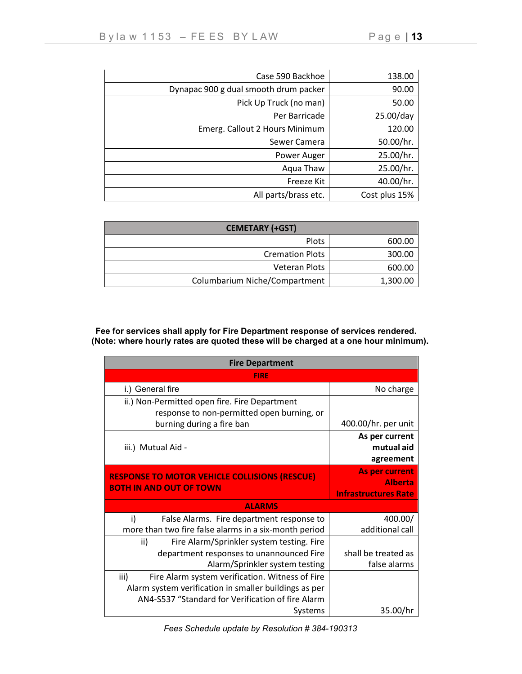| Case 590 Backhoe                      | 138.00        |
|---------------------------------------|---------------|
| Dynapac 900 g dual smooth drum packer | 90.00         |
| Pick Up Truck (no man)                | 50.00         |
| Per Barricade                         | 25.00/day     |
| Emerg. Callout 2 Hours Minimum        | 120.00        |
| Sewer Camera                          | 50.00/hr.     |
| Power Auger                           | 25.00/hr.     |
| Aqua Thaw                             | 25.00/hr.     |
| Freeze Kit                            | 40.00/hr.     |
| All parts/brass etc.                  | Cost plus 15% |

| <b>CEMETARY (+GST)</b>        |          |
|-------------------------------|----------|
| Plots                         | 600.00   |
| <b>Cremation Plots</b>        | 300.00   |
| <b>Veteran Plots</b>          | 600.00   |
| Columbarium Niche/Compartment | 1,300.00 |

**Fee for services shall apply for Fire Department response of services rendered. (Note: where hourly rates are quoted these will be charged at a one hour minimum).**

| <b>Fire Department</b>                                  |                             |
|---------------------------------------------------------|-----------------------------|
| <b>FIRE</b>                                             |                             |
| i.) General fire                                        | No charge                   |
| ii.) Non-Permitted open fire. Fire Department           |                             |
| response to non-permitted open burning, or              |                             |
| burning during a fire ban                               | 400.00/hr. per unit         |
|                                                         | As per current              |
| iii.) Mutual Aid -                                      | mutual aid                  |
|                                                         | agreement                   |
| <b>RESPONSE TO MOTOR VEHICLE COLLISIONS (RESCUE)</b>    | <b>As per current</b>       |
| <b>BOTH IN AND OUT OF TOWN</b>                          | <b>Alberta</b>              |
|                                                         | <b>Infrastructures Rate</b> |
| <b>ALARMS</b>                                           |                             |
| i)<br>False Alarms. Fire department response to         | 400.00/                     |
| more than two fire false alarms in a six-month period   | additional call             |
| Fire Alarm/Sprinkler system testing. Fire<br>ii)        |                             |
| department responses to unannounced Fire                | shall be treated as         |
| Alarm/Sprinkler system testing                          | false alarms                |
| iii)<br>Fire Alarm system verification. Witness of Fire |                             |
| Alarm system verification in smaller buildings as per   |                             |
| AN4-S537 "Standard for Verification of fire Alarm       |                             |
| Systems                                                 | 35.00/hr                    |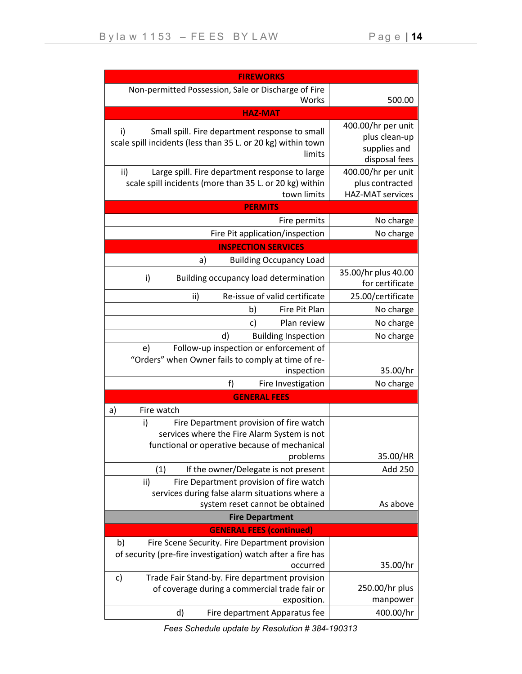| <b>FIREWORKS</b>                                                                             |                                     |
|----------------------------------------------------------------------------------------------|-------------------------------------|
| Non-permitted Possession, Sale or Discharge of Fire                                          |                                     |
| Works                                                                                        | 500.00                              |
| <b>HAZ-MAT</b>                                                                               |                                     |
| Small spill. Fire department response to small<br>i)                                         | 400.00/hr per unit                  |
| scale spill incidents (less than 35 L. or 20 kg) within town                                 | plus clean-up                       |
| limits                                                                                       | supplies and                        |
| Large spill. Fire department response to large<br>ii)                                        | disposal fees<br>400.00/hr per unit |
| scale spill incidents (more than 35 L. or 20 kg) within                                      | plus contracted                     |
| town limits                                                                                  | <b>HAZ-MAT services</b>             |
| <b>PERMITS</b>                                                                               |                                     |
| Fire permits                                                                                 | No charge                           |
| Fire Pit application/inspection                                                              | No charge                           |
| <b>INSPECTION SERVICES</b>                                                                   |                                     |
| a)<br><b>Building Occupancy Load</b>                                                         |                                     |
|                                                                                              | 35.00/hr plus 40.00                 |
| i)<br>Building occupancy load determination                                                  | for certificate                     |
| Re-issue of valid certificate<br>ii)                                                         | 25.00/certificate                   |
| Fire Pit Plan<br>b)                                                                          | No charge                           |
| $\mathsf{c}$<br>Plan review                                                                  | No charge                           |
| d)<br><b>Building Inspection</b>                                                             | No charge                           |
| Follow-up inspection or enforcement of<br>e)                                                 |                                     |
| "Orders" when Owner fails to comply at time of re-                                           |                                     |
| inspection                                                                                   | 35.00/hr                            |
| f)<br>Fire Investigation                                                                     | No charge                           |
| <b>GENERAL FEES</b>                                                                          |                                     |
| Fire watch<br>a)                                                                             |                                     |
| Fire Department provision of fire watch<br>i)<br>services where the Fire Alarm System is not |                                     |
| functional or operative because of mechanical                                                |                                     |
| problems                                                                                     | 35.00/HR                            |
| If the owner/Delegate is not present<br>(1)                                                  | Add 250                             |
| Fire Department provision of fire watch<br>ii)                                               |                                     |
| services during false alarm situations where a                                               |                                     |
| system reset cannot be obtained                                                              | As above                            |
| <b>Fire Department</b>                                                                       |                                     |
| <b>GENERAL FEES (continued)</b>                                                              |                                     |
| Fire Scene Security. Fire Department provision<br>b)                                         |                                     |
| of security (pre-fire investigation) watch after a fire has                                  |                                     |
| occurred<br>Trade Fair Stand-by. Fire department provision<br>c)                             | 35.00/hr                            |
| of coverage during a commercial trade fair or                                                | 250.00/hr plus                      |
| exposition.                                                                                  | manpower                            |
| d)<br>Fire department Apparatus fee                                                          | 400.00/hr                           |